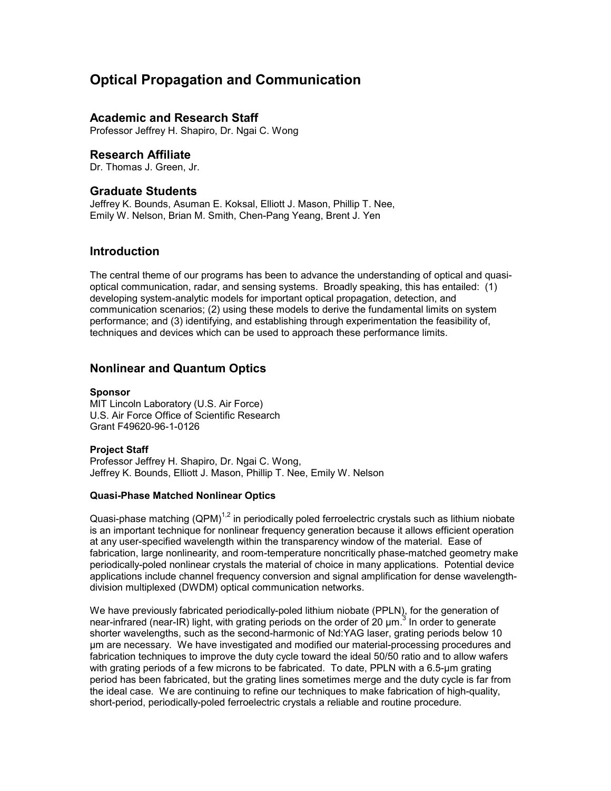# **Optical Propagation and Communication**

## **Academic and Research Staff**

Professor Jeffrey H. Shapiro, Dr. Ngai C. Wong

## **Research Affiliate**

Dr. Thomas J. Green, Jr.

## **Graduate Students**

Jeffrey K. Bounds, Asuman E. Koksal, Elliott J. Mason, Phillip T. Nee, Emily W. Nelson, Brian M. Smith, Chen-Pang Yeang, Brent J. Yen

## **Introduction**

The central theme of our programs has been to advance the understanding of optical and quasioptical communication, radar, and sensing systems. Broadly speaking, this has entailed: (1) developing system-analytic models for important optical propagation, detection, and communication scenarios; (2) using these models to derive the fundamental limits on system performance; and (3) identifying, and establishing through experimentation the feasibility of, techniques and devices which can be used to approach these performance limits.

## **Nonlinear and Quantum Optics**

#### **Sponsor**

MIT Lincoln Laboratory (U.S. Air Force) U.S. Air Force Office of Scientific Research Grant F49620-96-1-0126

#### **Project Staff**

Professor Jeffrey H. Shapiro, Dr. Ngai C. Wong, Jeffrey K. Bounds, Elliott J. Mason, Phillip T. Nee, Emily W. Nelson

#### **Quasi-Phase Matched Nonlinear Optics**

Quasi-phase matching  $(QPM)^{1,2}$  in periodically poled ferroelectric crystals such as lithium niobate is an important technique for nonlinear frequency generation because it allows efficient operation at any user-specified wavelength within the transparency window of the material. Ease of fabrication, large nonlinearity, and room-temperature noncritically phase-matched geometry make periodically-poled nonlinear crystals the material of choice in many applications. Potential device applications include channel frequency conversion and signal amplification for dense wavelengthdivision multiplexed (DWDM) optical communication networks.

We have previously fabricated periodically-poled lithium niobate (PPLN), for the generation of near-infrared (near-IR) light, with grating periods on the order of 20  $\mu$ m.<sup>3</sup> In order to generate shorter wavelengths, such as the second-harmonic of Nd:YAG laser, grating periods below 10 µm are necessary. We have investigated and modified our material-processing procedures and fabrication techniques to improve the duty cycle toward the ideal 50/50 ratio and to allow wafers with grating periods of a few microns to be fabricated. To date, PPLN with a 6.5-um grating period has been fabricated, but the grating lines sometimes merge and the duty cycle is far from the ideal case. We are continuing to refine our techniques to make fabrication of high-quality, short-period, periodically-poled ferroelectric crystals a reliable and routine procedure.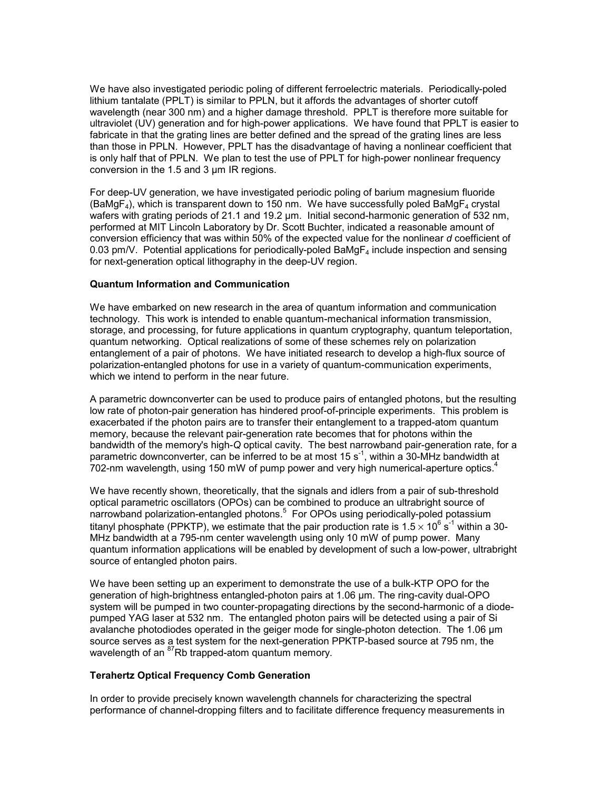We have also investigated periodic poling of different ferroelectric materials. Periodically-poled lithium tantalate (PPLT) is similar to PPLN, but it affords the advantages of shorter cutoff wavelength (near 300 nm) and a higher damage threshold. PPLT is therefore more suitable for ultraviolet (UV) generation and for high-power applications. We have found that PPLT is easier to fabricate in that the grating lines are better defined and the spread of the grating lines are less than those in PPLN. However, PPLT has the disadvantage of having a nonlinear coefficient that is only half that of PPLN. We plan to test the use of PPLT for high-power nonlinear frequency conversion in the 1.5 and 3 µm IR regions.

For deep-UV generation, we have investigated periodic poling of barium magnesium fluoride  $(BaMgF<sub>4</sub>)$ , which is transparent down to 150 nm. We have successfully poled BaMgF<sub>4</sub> crystal wafers with grating periods of 21.1 and 19.2 um. Initial second-harmonic generation of 532 nm, performed at MIT Lincoln Laboratory by Dr. Scott Buchter, indicated a reasonable amount of conversion efficiency that was within 50% of the expected value for the nonlinear *d* coefficient of 0.03 pm/V. Potential applications for periodically-poled BaMg $F_4$  include inspection and sensing for next-generation optical lithography in the deep-UV region.

#### **Quantum Information and Communication**

We have embarked on new research in the area of quantum information and communication technology. This work is intended to enable quantum-mechanical information transmission, storage, and processing, for future applications in quantum cryptography, quantum teleportation, quantum networking. Optical realizations of some of these schemes rely on polarization entanglement of a pair of photons. We have initiated research to develop a high-flux source of polarization-entangled photons for use in a variety of quantum-communication experiments, which we intend to perform in the near future.

A parametric downconverter can be used to produce pairs of entangled photons, but the resulting low rate of photon-pair generation has hindered proof-of-principle experiments. This problem is exacerbated if the photon pairs are to transfer their entanglement to a trapped-atom quantum memory, because the relevant pair-generation rate becomes that for photons within the bandwidth of the memory's high-*Q* optical cavity. The best narrowband pair-generation rate, for a parametric downconverter, can be inferred to be at most 15  $s^{-1}$ , within a 30-MHz bandwidth at 702-nm wavelength, using 150 mW of pump power and very high numerical-aperture optics. $4$ 

We have recently shown, theoretically, that the signals and idlers from a pair of sub-threshold optical parametric oscillators (OPOs) can be combined to produce an ultrabright source of narrowband polarization-entangled photons.<sup>5</sup> For OPOs using periodically-poled potassium titanyl phosphate (PPKTP), we estimate that the pair production rate is 1.5  $\times$  10<sup>6</sup> s<sup>-1</sup> within a 30-MHz bandwidth at a 795-nm center wavelength using only 10 mW of pump power. Many quantum information applications will be enabled by development of such a low-power, ultrabright source of entangled photon pairs.

We have been setting up an experiment to demonstrate the use of a bulk-KTP OPO for the generation of high-brightness entangled-photon pairs at 1.06 µm. The ring-cavity dual-OPO system will be pumped in two counter-propagating directions by the second-harmonic of a diodepumped YAG laser at 532 nm. The entangled photon pairs will be detected using a pair of Si avalanche photodiodes operated in the geiger mode for single-photon detection. The 1.06 µm source serves as a test system for the next-generation PPKTP-based source at 795 nm, the wavelength of an <sup>87</sup>Rb trapped-atom quantum memory.

#### **Terahertz Optical Frequency Comb Generation**

In order to provide precisely known wavelength channels for characterizing the spectral performance of channel-dropping filters and to facilitate difference frequency measurements in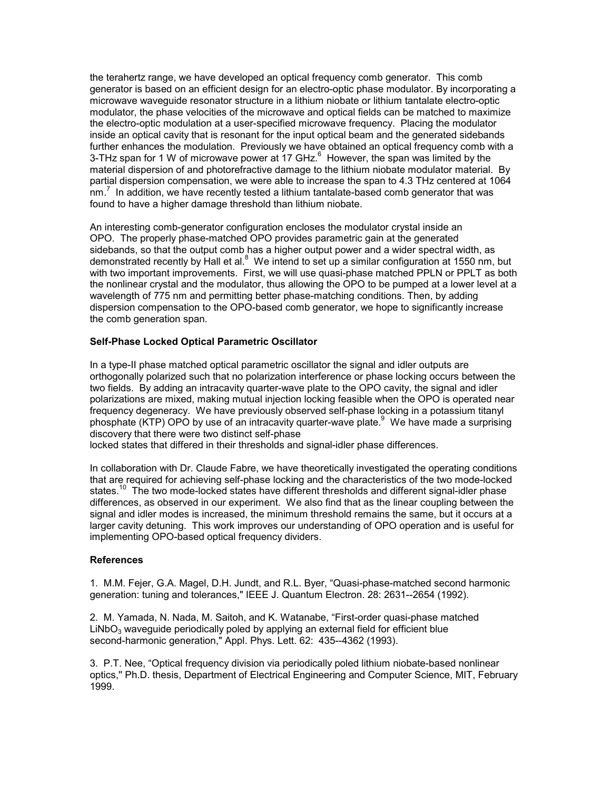the terahertz range, we have developed an optical frequency comb generator. This comb generator is based on an efficient design for an electro-optic phase modulator. By incorporating a microwave waveguide resonator structure in a lithium niobate or lithium tantalate electro-optic modulator, the phase velocities of the microwave and optical fields can be matched to maximize the electro-optic modulation at a user-specified microwave frequency. Placing the modulator inside an optical cavity that is resonant for the input optical beam and the generated sidebands further enhances the modulation. Previously we have obtained an optical frequency comb with a 3-THz span for 1 W of microwave power at 17 GHz. $^6$  However, the span was limited by the material dispersion of and photorefractive damage to the lithium niobate modulator material. By partial dispersion compensation, we were able to increase the span to 4.3 THz centered at 1064 nm.<sup>7</sup> In addition, we have recently tested a lithium tantalate-based comb generator that was found to have a higher damage threshold than lithium niobate.

An interesting comb-generator configuration encloses the modulator crystal inside an OPO. The properly phase-matched OPO provides parametric gain at the generated sidebands, so that the output comb has a higher output power and a wider spectral width, as demonstrated recently by Hall et al.<sup>8</sup> We intend to set up a similar configuration at 1550 nm, but with two important improvements. First, we will use quasi-phase matched PPLN or PPLT as both the nonlinear crystal and the modulator, thus allowing the OPO to be pumped at a lower level at a wavelength of 775 nm and permitting better phase-matching conditions. Then, by adding dispersion compensation to the OPO-based comb generator, we hope to significantly increase the comb generation span.

#### **Self-Phase Locked Optical Parametric Oscillator**

In a type-II phase matched optical parametric oscillator the signal and idler outputs are orthogonally polarized such that no polarization interference or phase locking occurs between the two fields. By adding an intracavity quarter-wave plate to the OPO cavity, the signal and idler polarizations are mixed, making mutual injection locking feasible when the OPO is operated near frequency degeneracy. We have previously observed self-phase locking in a potassium titanyl phosphate (KTP) OPO by use of an intracavity quarter-wave plate.<sup>9</sup> We have made a surprising discovery that there were two distinct self-phase

locked states that differed in their thresholds and signal-idler phase differences.

In collaboration with Dr. Claude Fabre, we have theoretically investigated the operating conditions that are required for achieving self-phase locking and the characteristics of the two mode-locked states.<sup>10</sup> The two mode-locked states have different thresholds and different signal-idler phase differences, as observed in our experiment. We also find that as the linear coupling between the signal and idler modes is increased, the minimum threshold remains the same, but it occurs at a larger cavity detuning. This work improves our understanding of OPO operation and is useful for implementing OPO-based optical frequency dividers.

#### **References**

1. M.M. Fejer, G.A. Magel, D.H. Jundt, and R.L. Byer, "Quasi-phase-matched second harmonic generation: tuning and tolerances," IEEE J. Quantum Electron. 28: 2631--2654 (1992).

2. M. Yamada, N. Nada, M. Saitoh, and K. Watanabe, "First-order quasi-phase matched  $LiNbO<sub>3</sub>$  waveguide periodically poled by applying an external field for efficient blue second-harmonic generation," Appl. Phys. Lett. 62: 435--4362 (1993).

3. P.T. Nee, "Optical frequency division via periodically poled lithium niobate-based nonlinear optics,'' Ph.D. thesis, Department of Electrical Engineering and Computer Science, MIT, February 1999.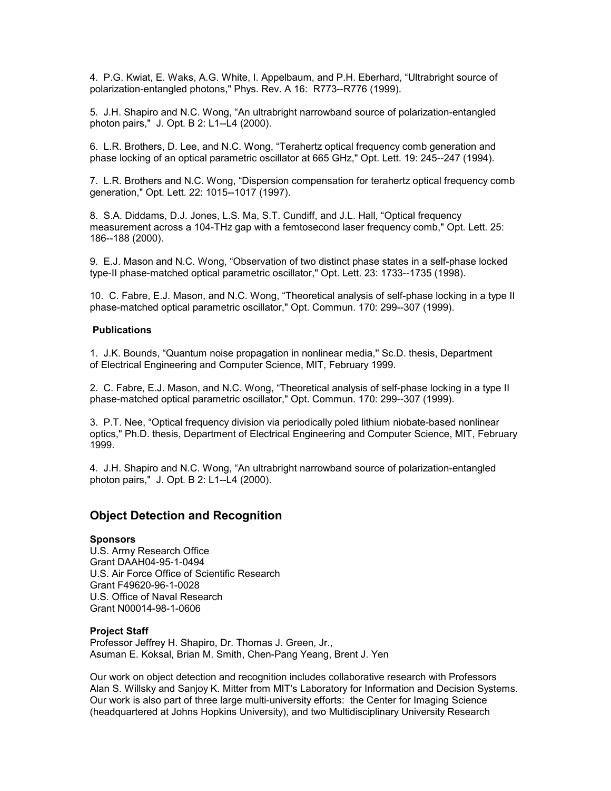4. P.G. Kwiat, E. Waks, A.G. White, I. Appelbaum, and P.H. Eberhard, "Ultrabright source of polarization-entangled photons," Phys. Rev. A 16: R773--R776 (1999).

5. J.H. Shapiro and N.C. Wong, "An ultrabright narrowband source of polarization-entangled photon pairs," J. Opt. B 2: L1--L4 (2000).

6. L.R. Brothers, D. Lee, and N.C. Wong, "Terahertz optical frequency comb generation and phase locking of an optical parametric oscillator at 665 GHz," Opt. Lett. 19: 245--247 (1994).

7. L.R. Brothers and N.C. Wong, "Dispersion compensation for terahertz optical frequency comb generation," Opt. Lett. 22: 1015--1017 (1997).

8. S.A. Diddams, D.J. Jones, L.S. Ma, S.T. Cundiff, and J.L. Hall, "Optical frequency measurement across a 104-THz gap with a femtosecond laser frequency comb," Opt. Lett. 25: 186--188 (2000).

9. E.J. Mason and N.C. Wong, "Observation of two distinct phase states in a self-phase locked type-II phase-matched optical parametric oscillator," Opt. Lett. 23: 1733--1735 (1998).

10. C. Fabre, E.J. Mason, and N.C. Wong, "Theoretical analysis of self-phase locking in a type II phase-matched optical parametric oscillator," Opt. Commun. 170: 299--307 (1999).

#### **Publications**

1. J.K. Bounds, "Quantum noise propagation in nonlinear media,'' Sc.D. thesis, Department of Electrical Engineering and Computer Science, MIT, February 1999.

2. C. Fabre, E.J. Mason, and N.C. Wong, "Theoretical analysis of self-phase locking in a type II phase-matched optical parametric oscillator," Opt. Commun. 170: 299--307 (1999).

3. P.T. Nee, "Optical frequency division via periodically poled lithium niobate-based nonlinear optics," Ph.D. thesis, Department of Electrical Engineering and Computer Science, MIT, February 1999.

4. J.H. Shapiro and N.C. Wong, "An ultrabright narrowband source of polarization-entangled photon pairs," J. Opt. B 2: L1--L4 (2000).

## **Object Detection and Recognition**

#### **Sponsors**

U.S. Army Research Office Grant DAAH04-95-1-0494 U.S. Air Force Office of Scientific Research Grant F49620-96-1-0028 U.S. Office of Naval Research Grant N00014-98-1-0606

#### **Project Staff**

Professor Jeffrey H. Shapiro, Dr. Thomas J. Green, Jr., Asuman E. Koksal, Brian M. Smith, Chen-Pang Yeang, Brent J. Yen

Our work on object detection and recognition includes collaborative research with Professors Alan S. Willsky and Sanjoy K. Mitter from MIT's Laboratory for Information and Decision Systems. Our work is also part of three large multi-university efforts: the Center for Imaging Science (headquartered at Johns Hopkins University), and two Multidisciplinary University Research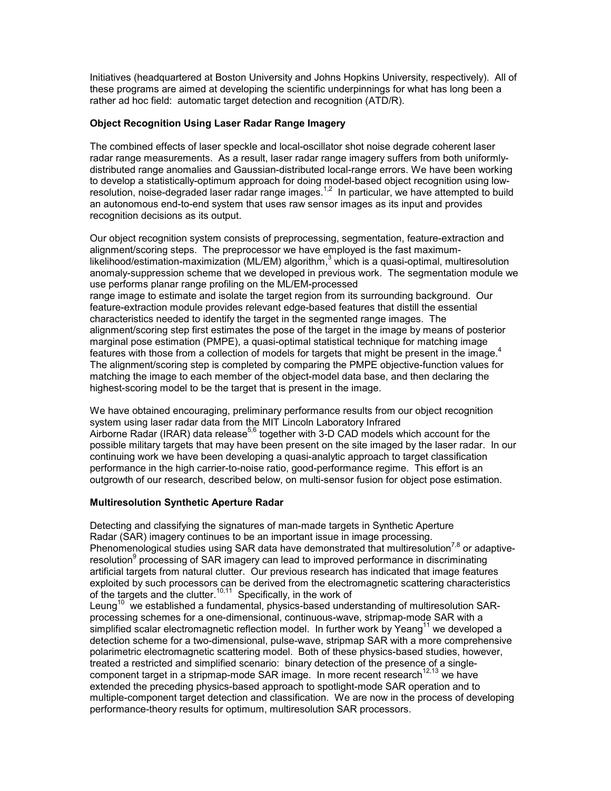Initiatives (headquartered at Boston University and Johns Hopkins University, respectively). All of these programs are aimed at developing the scientific underpinnings for what has long been a rather ad hoc field: automatic target detection and recognition (ATD/R).

### **Object Recognition Using Laser Radar Range Imagery**

The combined effects of laser speckle and local-oscillator shot noise degrade coherent laser radar range measurements. As a result, laser radar range imagery suffers from both uniformlydistributed range anomalies and Gaussian-distributed local-range errors. We have been working to develop a statistically-optimum approach for doing model-based object recognition using lowresolution, noise-degraded laser radar range images.<sup>1,2</sup> In particular, we have attempted to build an autonomous end-to-end system that uses raw sensor images as its input and provides recognition decisions as its output.

Our object recognition system consists of preprocessing, segmentation, feature-extraction and alignment/scoring steps. The preprocessor we have employed is the fast maximumlikelihood/estimation-maximization (ML/EM) algorithm,<sup>3</sup> which is a quasi-optimal, multiresolution anomaly-suppression scheme that we developed in previous work. The segmentation module we use performs planar range profiling on the ML/EM-processed range image to estimate and isolate the target region from its surrounding background. Our feature-extraction module provides relevant edge-based features that distill the essential characteristics needed to identify the target in the segmented range images. The alignment/scoring step first estimates the pose of the target in the image by means of posterior marginal pose estimation (PMPE), a quasi-optimal statistical technique for matching image features with those from a collection of models for targets that might be present in the image.<sup>4</sup> The alignment/scoring step is completed by comparing the PMPE objective-function values for matching the image to each member of the object-model data base, and then declaring the highest-scoring model to be the target that is present in the image.

We have obtained encouraging, preliminary performance results from our object recognition system using laser radar data from the MIT Lincoln Laboratory Infrared Airborne Radar (IRAR) data release<sup>5,6</sup> together with 3-D CAD models which account for the possible military targets that may have been present on the site imaged by the laser radar. In our continuing work we have been developing a quasi-analytic approach to target classification performance in the high carrier-to-noise ratio, good-performance regime. This effort is an outgrowth of our research, described below, on multi-sensor fusion for object pose estimation.

#### **Multiresolution Synthetic Aperture Radar**

Detecting and classifying the signatures of man-made targets in Synthetic Aperture Radar (SAR) imagery continues to be an important issue in image processing. Phenomenological studies using SAR data have demonstrated that multiresolution<sup>7,8</sup> or adaptiveresolution<sup>9</sup> processing of SAR imagery can lead to improved performance in discriminating artificial targets from natural clutter. Our previous research has indicated that image features exploited by such processors can be derived from the electromagnetic scattering characteristics of the targets and the clutter.<sup>10,11</sup> Specifically, in the work of Leung<sup>10</sup> we established a fundamental, physics-based understanding of multiresolution SARprocessing schemes for a one-dimensional, continuous-wave, stripmap-mode SAR with a simplified scalar electromagnetic reflection model. In further work by Yeang<sup>11</sup> we developed a detection scheme for a two-dimensional, pulse-wave, stripmap SAR with a more comprehensive polarimetric electromagnetic scattering model. Both of these physics-based studies, however, treated a restricted and simplified scenario: binary detection of the presence of a singlecomponent target in a stripmap-mode SAR image. In more recent research<sup>12,13</sup> we have extended the preceding physics-based approach to spotlight-mode SAR operation and to multiple-component target detection and classification. We are now in the process of developing performance-theory results for optimum, multiresolution SAR processors.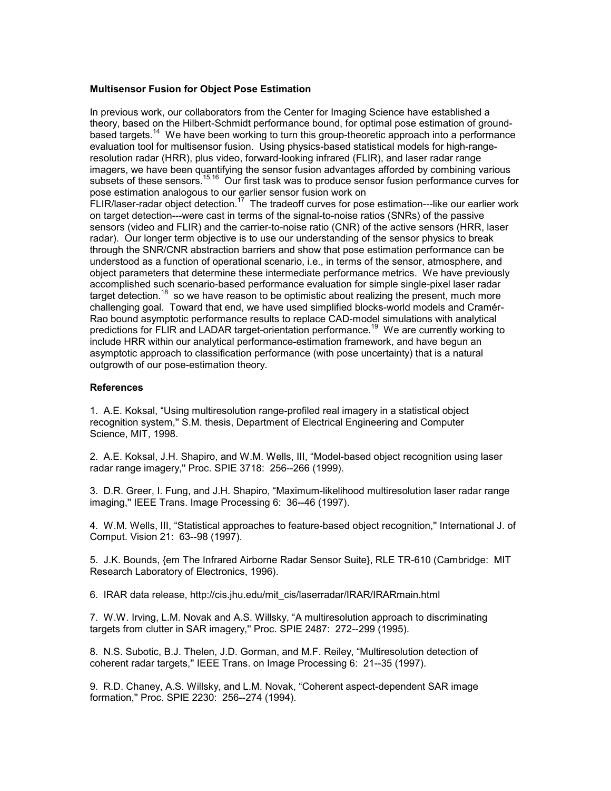#### **Multisensor Fusion for Object Pose Estimation**

In previous work, our collaborators from the Center for Imaging Science have established a theory, based on the Hilbert-Schmidt performance bound, for optimal pose estimation of groundbased targets.<sup>14</sup> We have been working to turn this group-theoretic approach into a performance evaluation tool for multisensor fusion. Using physics-based statistical models for high-rangeresolution radar (HRR), plus video, forward-looking infrared (FLIR), and laser radar range imagers, we have been quantifying the sensor fusion advantages afforded by combining various subsets of these sensors.<sup>15,16</sup> Our first task was to produce sensor fusion performance curves for pose estimation analogous to our earlier sensor fusion work on FLIR/laser-radar object detection.<sup>17</sup> The tradeoff curves for pose estimation---like our earlier work on target detection---were cast in terms of the signal-to-noise ratios (SNRs) of the passive sensors (video and FLIR) and the carrier-to-noise ratio (CNR) of the active sensors (HRR, laser radar). Our longer term objective is to use our understanding of the sensor physics to break through the SNR/CNR abstraction barriers and show that pose estimation performance can be understood as a function of operational scenario, i.e., in terms of the sensor, atmosphere, and object parameters that determine these intermediate performance metrics. We have previously accomplished such scenario-based performance evaluation for simple single-pixel laser radar target detection.<sup>18</sup> so we have reason to be optimistic about realizing the present, much more challenging goal. Toward that end, we have used simplified blocks-world models and Cramér-Rao bound asymptotic performance results to replace CAD-model simulations with analytical predictions for FLIR and LADAR target-orientation performance.<sup>19</sup> We are currently working to include HRR within our analytical performance-estimation framework, and have begun an asymptotic approach to classification performance (with pose uncertainty) that is a natural outgrowth of our pose-estimation theory.

#### **References**

1. A.E. Koksal, "Using multiresolution range-profiled real imagery in a statistical object recognition system,'' S.M. thesis, Department of Electrical Engineering and Computer Science, MIT, 1998.

2. A.E. Koksal, J.H. Shapiro, and W.M. Wells, III, "Model-based object recognition using laser radar range imagery,'' Proc. SPIE 3718: 256--266 (1999).

3. D.R. Greer, I. Fung, and J.H. Shapiro, "Maximum-likelihood multiresolution laser radar range imaging,'' IEEE Trans. Image Processing 6: 36--46 (1997).

4. W.M. Wells, III, "Statistical approaches to feature-based object recognition,'' International J. of Comput. Vision 21: 63--98 (1997).

5. J.K. Bounds, {em The Infrared Airborne Radar Sensor Suite}, RLE TR-610 (Cambridge: MIT Research Laboratory of Electronics, 1996).

6. IRAR data release, http://cis.jhu.edu/mit\_cis/laserradar/IRAR/IRARmain.html

7. W.W. Irving, L.M. Novak and A.S. Willsky, "A multiresolution approach to discriminating targets from clutter in SAR imagery,'' Proc. SPIE 2487: 272--299 (1995).

8. N.S. Subotic, B.J. Thelen, J.D. Gorman, and M.F. Reiley, "Multiresolution detection of coherent radar targets,'' IEEE Trans. on Image Processing 6: 21--35 (1997).

9. R.D. Chaney, A.S. Willsky, and L.M. Novak, "Coherent aspect-dependent SAR image formation,'' Proc. SPIE 2230: 256--274 (1994).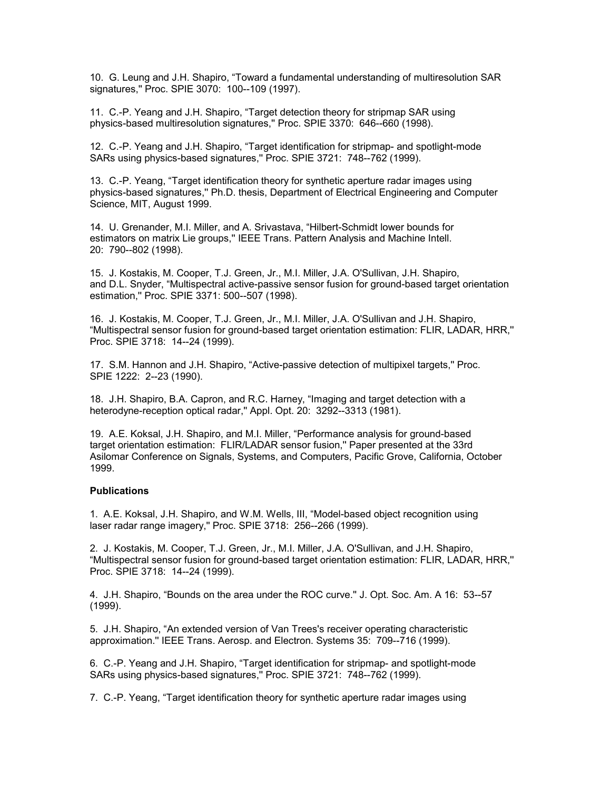10. G. Leung and J.H. Shapiro, "Toward a fundamental understanding of multiresolution SAR signatures,'' Proc. SPIE 3070: 100--109 (1997).

11. C.-P. Yeang and J.H. Shapiro, "Target detection theory for stripmap SAR using physics-based multiresolution signatures,'' Proc. SPIE 3370: 646--660 (1998).

12. C.-P. Yeang and J.H. Shapiro, "Target identification for stripmap- and spotlight-mode SARs using physics-based signatures,'' Proc. SPIE 3721: 748--762 (1999).

13. C.-P. Yeang, "Target identification theory for synthetic aperture radar images using physics-based signatures,'' Ph.D. thesis, Department of Electrical Engineering and Computer Science, MIT, August 1999.

14. U. Grenander, M.I. Miller, and A. Srivastava, "Hilbert-Schmidt lower bounds for estimators on matrix Lie groups,'' IEEE Trans. Pattern Analysis and Machine Intell. 20: 790--802 (1998).

15. J. Kostakis, M. Cooper, T.J. Green, Jr., M.I. Miller, J.A. O'Sullivan, J.H. Shapiro, and D.L. Snyder, "Multispectral active-passive sensor fusion for ground-based target orientation estimation,'' Proc. SPIE 3371: 500--507 (1998).

16. J. Kostakis, M. Cooper, T.J. Green, Jr., M.I. Miller, J.A. O'Sullivan and J.H. Shapiro, "Multispectral sensor fusion for ground-based target orientation estimation: FLIR, LADAR, HRR,'' Proc. SPIE 3718: 14--24 (1999).

17. S.M. Hannon and J.H. Shapiro, "Active-passive detection of multipixel targets,'' Proc. SPIE 1222: 2--23 (1990).

18. J.H. Shapiro, B.A. Capron, and R.C. Harney, "Imaging and target detection with a heterodyne-reception optical radar,'' Appl. Opt. 20: 3292--3313 (1981).

19. A.E. Koksal, J.H. Shapiro, and M.I. Miller, "Performance analysis for ground-based target orientation estimation: FLIR/LADAR sensor fusion,'' Paper presented at the 33rd Asilomar Conference on Signals, Systems, and Computers, Pacific Grove, California, October 1999.

#### **Publications**

1. A.E. Koksal, J.H. Shapiro, and W.M. Wells, III, "Model-based object recognition using laser radar range imagery,'' Proc. SPIE 3718: 256--266 (1999).

2. J. Kostakis, M. Cooper, T.J. Green, Jr., M.I. Miller, J.A. O'Sullivan, and J.H. Shapiro, "Multispectral sensor fusion for ground-based target orientation estimation: FLIR, LADAR, HRR,'' Proc. SPIE 3718: 14--24 (1999).

4. J.H. Shapiro, "Bounds on the area under the ROC curve.'' J. Opt. Soc. Am. A 16: 53--57 (1999).

5. J.H. Shapiro, "An extended version of Van Trees's receiver operating characteristic approximation.'' IEEE Trans. Aerosp. and Electron. Systems 35: 709--716 (1999).

6. C.-P. Yeang and J.H. Shapiro, "Target identification for stripmap- and spotlight-mode SARs using physics-based signatures,'' Proc. SPIE 3721: 748--762 (1999).

7. C.-P. Yeang, "Target identification theory for synthetic aperture radar images using